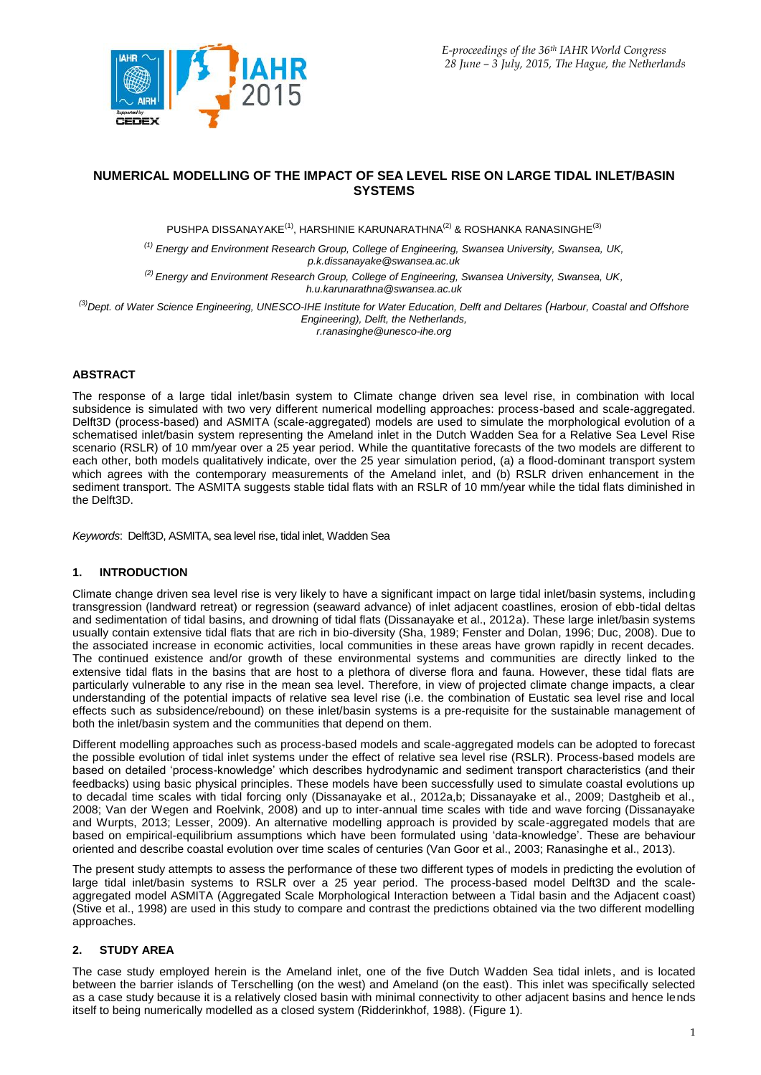

# **NUMERICAL MODELLING OF THE IMPACT OF SEA LEVEL RISE ON LARGE TIDAL INLET/BASIN SYSTEMS**

PUSHPA DISSANAYAKE $^{\text{\tiny{(1)}}}$ , HARSHINIE KARUNARATHNA $^{\text{\tiny{(2)}}}$ & ROSHANKA RANASINGHE $^{\text{\tiny{(3)}}}$ 

*(1) Energy and Environment Research Group, College of Engineering, Swansea University, Swansea, UK, p.k.dissanayake@swansea.ac.uk*

*(2) Energy and Environment Research Group, College of Engineering, Swansea University, Swansea, UK, h.u.karunarathna@swansea.ac.uk*

*(3)Dept. of Water Science Engineering, UNESCO-IHE Institute for Water Education, Delft and Deltares (Harbour, Coastal and Offshore Engineering), Delft, the Netherlands, r.ranasinghe@unesco-ihe.org*

# **ABSTRACT**

The response of a large tidal inlet/basin system to Climate change driven sea level rise, in combination with local subsidence is simulated with two very different numerical modelling approaches: process-based and scale-aggregated. Delft3D (process-based) and ASMITA (scale-aggregated) models are used to simulate the morphological evolution of a schematised inlet/basin system representing the Ameland inlet in the Dutch Wadden Sea for a Relative Sea Level Rise scenario (RSLR) of 10 mm/year over a 25 year period. While the quantitative forecasts of the two models are different to each other, both models qualitatively indicate, over the 25 year simulation period, (a) a flood-dominant transport system which agrees with the contemporary measurements of the Ameland inlet, and (b) RSLR driven enhancement in the sediment transport. The ASMITA suggests stable tidal flats with an RSLR of 10 mm/year while the tidal flats diminished in the Delft3D.

*Keywords*: Delft3D, ASMITA, sea level rise, tidal inlet, Wadden Sea

### **1. INTRODUCTION**

Climate change driven sea level rise is very likely to have a significant impact on large tidal inlet/basin systems, including transgression (landward retreat) or regression (seaward advance) of inlet adjacent coastlines, erosion of ebb-tidal deltas and sedimentation of tidal basins, and drowning of tidal flats (Dissanayake et al., 2012a). These large inlet/basin systems usually contain extensive tidal flats that are rich in bio-diversity (Sha, 1989; Fenster and Dolan, 1996; Duc, 2008). Due to the associated increase in economic activities, local communities in these areas have grown rapidly in recent decades. The continued existence and/or growth of these environmental systems and communities are directly linked to the extensive tidal flats in the basins that are host to a plethora of diverse flora and fauna. However, these tidal flats are particularly vulnerable to any rise in the mean sea level. Therefore, in view of projected climate change impacts, a clear understanding of the potential impacts of relative sea level rise (i.e. the combination of Eustatic sea level rise and local effects such as subsidence/rebound) on these inlet/basin systems is a pre-requisite for the sustainable management of both the inlet/basin system and the communities that depend on them.

Different modelling approaches such as process-based models and scale-aggregated models can be adopted to forecast the possible evolution of tidal inlet systems under the effect of relative sea level rise (RSLR). Process-based models are based on detailed 'process-knowledge' which describes hydrodynamic and sediment transport characteristics (and their feedbacks) using basic physical principles. These models have been successfully used to simulate coastal evolutions up to decadal time scales with tidal forcing only (Dissanayake et al., 2012a,b; Dissanayake et al., 2009; Dastgheib et al., 2008; Van der Wegen and Roelvink, 2008) and up to inter-annual time scales with tide and wave forcing (Dissanayake and Wurpts, 2013; Lesser, 2009). An alternative modelling approach is provided by scale-aggregated models that are based on empirical-equilibrium assumptions which have been formulated using 'data-knowledge'. These are behaviour oriented and describe coastal evolution over time scales of centuries (Van Goor et al., 2003; Ranasinghe et al., 2013).

The present study attempts to assess the performance of these two different types of models in predicting the evolution of large tidal inlet/basin systems to RSLR over a 25 year period. The process-based model Delft3D and the scaleaggregated model ASMITA (Aggregated Scale Morphological Interaction between a Tidal basin and the Adjacent coast) (Stive et al., 1998) are used in this study to compare and contrast the predictions obtained via the two different modelling approaches.

### **2. STUDY AREA**

The case study employed herein is the Ameland inlet, one of the five Dutch Wadden Sea tidal inlets, and is located between the barrier islands of Terschelling (on the west) and Ameland (on the east). This inlet was specifically selected as a case study because it is a relatively closed basin with minimal connectivity to other adjacent basins and hence lends itself to being numerically modelled as a closed system (Ridderinkhof, 1988). (Figure 1).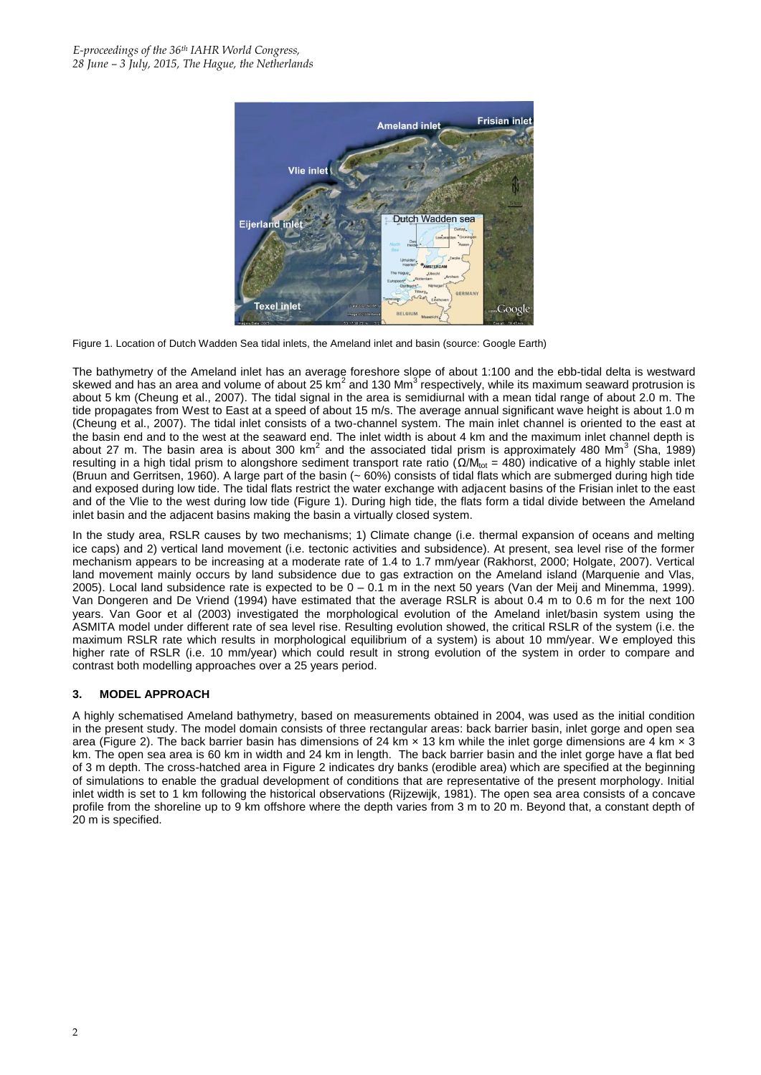

Figure 1. Location of Dutch Wadden Sea tidal inlets, the Ameland inlet and basin (source: Google Earth)

The bathymetry of the Ameland inlet has an average foreshore slope of about 1:100 and the ebb-tidal delta is westward skewed and has an area and volume of about 25 km<sup>2</sup> and 130 Mm<sup>3</sup> respectively, while its maximum seaward protrusion is about 5 km (Cheung et al., 2007). The tidal signal in the area is semidiurnal with a mean tidal range of about 2.0 m. The tide propagates from West to East at a speed of about 15 m/s. The average annual significant wave height is about 1.0 m (Cheung et al., 2007). The tidal inlet consists of a two-channel system. The main inlet channel is oriented to the east at the basin end and to the west at the seaward end. The inlet width is about 4 km and the maximum inlet channel depth is about 27 m. The basin area is about 300 km<sup>2</sup> and the associated tidal prism is approximately 480 Mm<sup>3</sup> (Sha, 1989) resulting in a high tidal prism to alongshore sediment transport rate ratio ( $Ω/M_{tot}$  = 480) indicative of a highly stable inlet (Bruun and Gerritsen, 1960). A large part of the basin (~ 60%) consists of tidal flats which are submerged during high tide and exposed during low tide. The tidal flats restrict the water exchange with adjacent basins of the Frisian inlet to the east and of the Vlie to the west during low tide (Figure 1). During high tide, the flats form a tidal divide between the Ameland inlet basin and the adjacent basins making the basin a virtually closed system.

In the study area, RSLR causes by two mechanisms; 1) Climate change (i.e. thermal expansion of oceans and melting ice caps) and 2) vertical land movement (i.e. tectonic activities and subsidence). At present, sea level rise of the former mechanism appears to be increasing at a moderate rate of 1.4 to 1.7 mm/year (Rakhorst, 2000; Holgate, 2007). Vertical land movement mainly occurs by land subsidence due to gas extraction on the Ameland island (Marquenie and Vlas, 2005). Local land subsidence rate is expected to be 0 – 0.1 m in the next 50 years (Van der Meij and Minemma, 1999). Van Dongeren and De Vriend (1994) have estimated that the average RSLR is about 0.4 m to 0.6 m for the next 100 years. Van Goor et al (2003) investigated the morphological evolution of the Ameland inlet/basin system using the ASMITA model under different rate of sea level rise. Resulting evolution showed, the critical RSLR of the system (i.e. the maximum RSLR rate which results in morphological equilibrium of a system) is about 10 mm/year. We employed this higher rate of RSLR (i.e. 10 mm/year) which could result in strong evolution of the system in order to compare and contrast both modelling approaches over a 25 years period.

### **3. MODEL APPROACH**

A highly schematised Ameland bathymetry, based on measurements obtained in 2004, was used as the initial condition in the present study. The model domain consists of three rectangular areas: back barrier basin, inlet gorge and open sea area (Figure 2). The back barrier basin has dimensions of 24 km  $\times$  13 km while the inlet gorge dimensions are 4 km  $\times$  3 km. The open sea area is 60 km in width and 24 km in length. The back barrier basin and the inlet gorge have a flat bed of 3 m depth. The cross-hatched area in Figure 2 indicates dry banks (erodible area) which are specified at the beginning of simulations to enable the gradual development of conditions that are representative of the present morphology. Initial inlet width is set to 1 km following the historical observations (Rijzewijk, 1981). The open sea area consists of a concave profile from the shoreline up to 9 km offshore where the depth varies from 3 m to 20 m. Beyond that, a constant depth of 20 m is specified.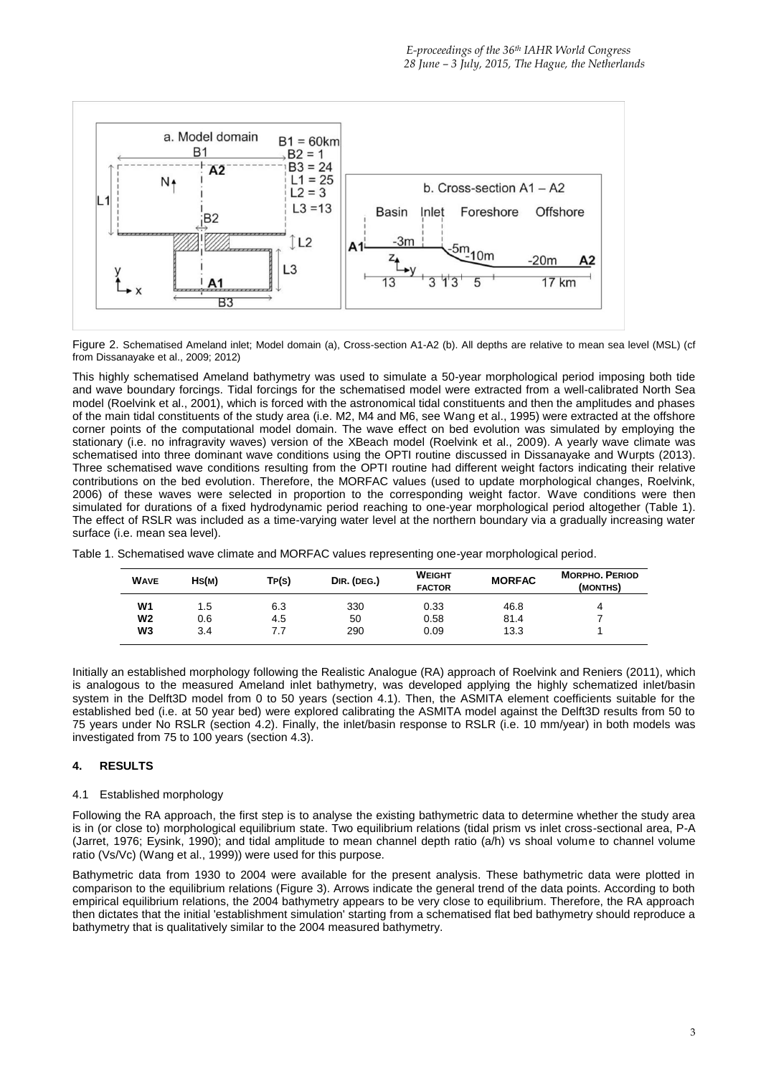

Figure 2. Schematised Ameland inlet; Model domain (a), Cross-section A1-A2 (b). All depths are relative to mean sea level (MSL) (cf from Dissanayake et al., 2009; 2012)

This highly schematised Ameland bathymetry was used to simulate a 50-year morphological period imposing both tide and wave boundary forcings. Tidal forcings for the schematised model were extracted from a well-calibrated North Sea model (Roelvink et al., 2001), which is forced with the astronomical tidal constituents and then the amplitudes and phases of the main tidal constituents of the study area (i.e. M2, M4 and M6, see Wang et al., 1995) were extracted at the offshore corner points of the computational model domain. The wave effect on bed evolution was simulated by employing the stationary (i.e. no infragravity waves) version of the XBeach model (Roelvink et al., 2009). A yearly wave climate was schematised into three dominant wave conditions using the OPTI routine discussed in Dissanayake and Wurpts (2013). Three schematised wave conditions resulting from the OPTI routine had different weight factors indicating their relative contributions on the bed evolution. Therefore, the MORFAC values (used to update morphological changes, Roelvink, 2006) of these waves were selected in proportion to the corresponding weight factor. Wave conditions were then simulated for durations of a fixed hydrodynamic period reaching to one-year morphological period altogether (Table 1). The effect of RSLR was included as a time-varying water level at the northern boundary via a gradually increasing water surface (i.e. mean sea level).

| Table 1. Schematised wave climate and MORFAC values representing one-year morphological period. |  |
|-------------------------------------------------------------------------------------------------|--|
|-------------------------------------------------------------------------------------------------|--|

| <b>WAVE</b>    | Hs(m) | TP(S) | DIR. (DEG.) | <b>WEIGHT</b><br><b>FACTOR</b> | <b>MORFAC</b> | <b>MORPHO, PERIOD</b><br>(MONTHS) |
|----------------|-------|-------|-------------|--------------------------------|---------------|-----------------------------------|
| W <sub>1</sub> | 1.5   | 6.3   | 330         | 0.33                           | 46.8          | 4                                 |
| W <sub>2</sub> | 0.6   | 4.5   | 50          | 0.58                           | 81.4          |                                   |
| W3             | 3.4   |       | 290         | 0.09                           | 13.3          |                                   |

Initially an established morphology following the Realistic Analogue (RA) approach of Roelvink and Reniers (2011), which is analogous to the measured Ameland inlet bathymetry, was developed applying the highly schematized inlet/basin system in the Delft3D model from 0 to 50 years (section 4.1). Then, the ASMITA element coefficients suitable for the established bed (i.e. at 50 year bed) were explored calibrating the ASMITA model against the Delft3D results from 50 to 75 years under No RSLR (section 4.2). Finally, the inlet/basin response to RSLR (i.e. 10 mm/year) in both models was investigated from 75 to 100 years (section 4.3).

### **4. RESULTS**

#### 4.1 Established morphology

Following the RA approach, the first step is to analyse the existing bathymetric data to determine whether the study area is in (or close to) morphological equilibrium state. Two equilibrium relations (tidal prism vs inlet cross-sectional area, P-A (Jarret, 1976; Eysink, 1990); and tidal amplitude to mean channel depth ratio (a/h) vs shoal volume to channel volume ratio (Vs/Vc) (Wang et al., 1999)) were used for this purpose.

Bathymetric data from 1930 to 2004 were available for the present analysis. These bathymetric data were plotted in comparison to the equilibrium relations (Figure 3). Arrows indicate the general trend of the data points. According to both empirical equilibrium relations, the 2004 bathymetry appears to be very close to equilibrium. Therefore, the RA approach then dictates that the initial 'establishment simulation' starting from a schematised flat bed bathymetry should reproduce a bathymetry that is qualitatively similar to the 2004 measured bathymetry.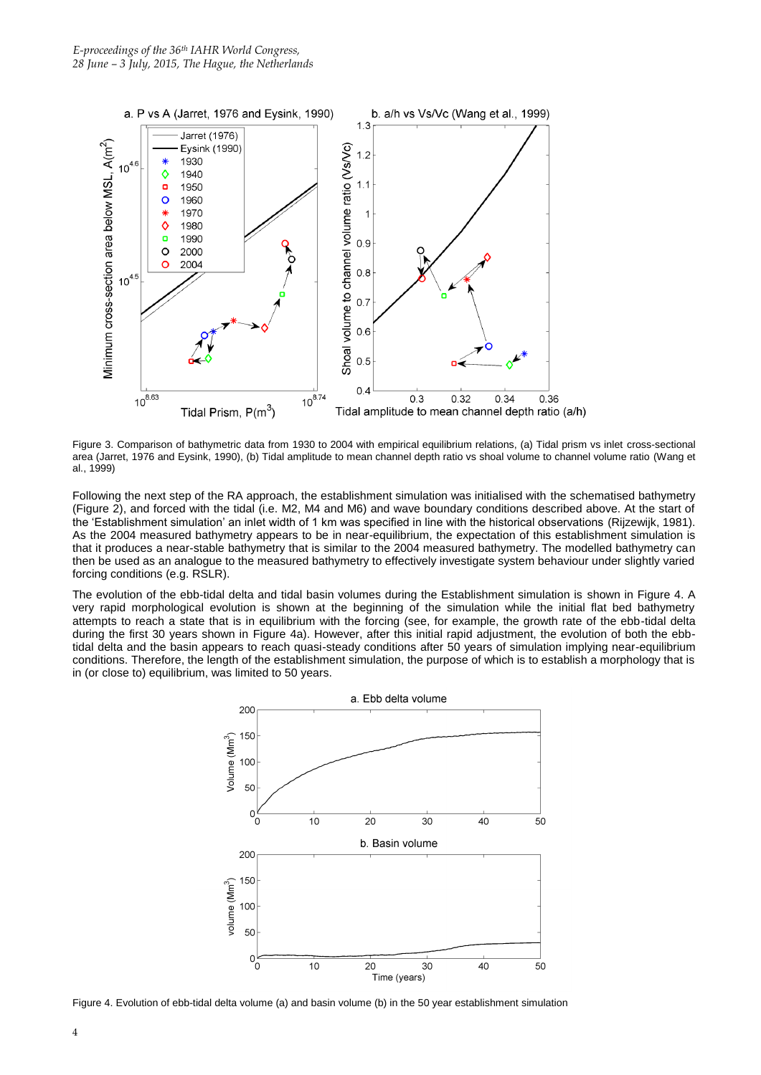

Figure 3. Comparison of bathymetric data from 1930 to 2004 with empirical equilibrium relations, (a) Tidal prism vs inlet cross-sectional area (Jarret, 1976 and Eysink, 1990), (b) Tidal amplitude to mean channel depth ratio vs shoal volume to channel volume ratio (Wang et al., 1999)

Following the next step of the RA approach, the establishment simulation was initialised with the schematised bathymetry (Figure 2), and forced with the tidal (i.e. M2, M4 and M6) and wave boundary conditions described above. At the start of the 'Establishment simulation' an inlet width of 1 km was specified in line with the historical observations (Rijzewijk, 1981). As the 2004 measured bathymetry appears to be in near-equilibrium, the expectation of this establishment simulation is that it produces a near-stable bathymetry that is similar to the 2004 measured bathymetry. The modelled bathymetry can then be used as an analogue to the measured bathymetry to effectively investigate system behaviour under slightly varied forcing conditions (e.g. RSLR).

The evolution of the ebb-tidal delta and tidal basin volumes during the Establishment simulation is shown in Figure 4. A very rapid morphological evolution is shown at the beginning of the simulation while the initial flat bed bathymetry attempts to reach a state that is in equilibrium with the forcing (see, for example, the growth rate of the ebb-tidal delta during the first 30 years shown in Figure 4a). However, after this initial rapid adjustment, the evolution of both the ebbtidal delta and the basin appears to reach quasi-steady conditions after 50 years of simulation implying near-equilibrium conditions. Therefore, the length of the establishment simulation, the purpose of which is to establish a morphology that is in (or close to) equilibrium, was limited to 50 years.



Figure 4. Evolution of ebb-tidal delta volume (a) and basin volume (b) in the 50 year establishment simulation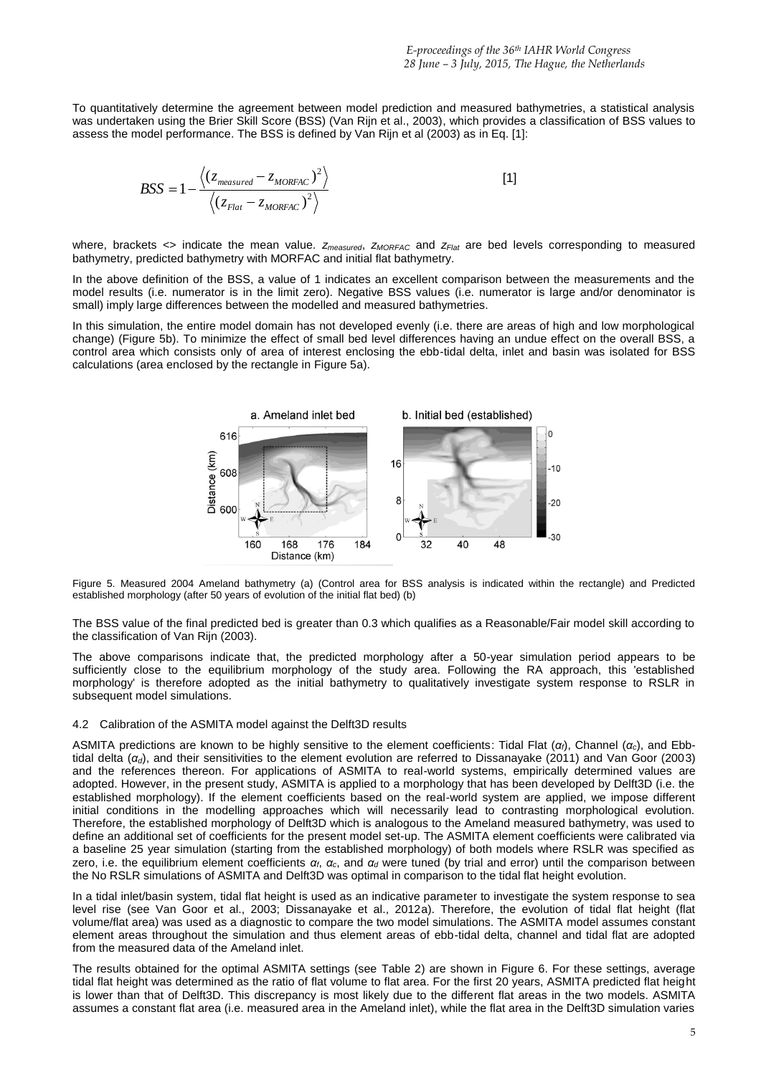To quantitatively determine the agreement between model prediction and measured bathymetries, a statistical analysis was undertaken using the Brier Skill Score (BSS) (Van Rijn et al., 2003), which provides a classification of BSS values to assess the model performance. The BSS is defined by Van Rijn et al (2003) as in Eq. [1]:

$$
BSS = 1 - \frac{\langle (z_{measured} - z_{MORFAC})^2 \rangle}{\langle (z_{Flat} - z_{MORFAC})^2 \rangle}
$$
 [1]

where, brackets <> indicate the mean value. *zmeasured*, *zMORFAC* and *zFlat* are bed levels corresponding to measured bathymetry, predicted bathymetry with MORFAC and initial flat bathymetry.

In the above definition of the BSS, a value of 1 indicates an excellent comparison between the measurements and the model results (i.e. numerator is in the limit zero). Negative BSS values (i.e. numerator is large and/or denominator is small) imply large differences between the modelled and measured bathymetries.

In this simulation, the entire model domain has not developed evenly (i.e. there are areas of high and low morphological change) (Figure 5b). To minimize the effect of small bed level differences having an undue effect on the overall BSS, a control area which consists only of area of interest enclosing the ebb-tidal delta, inlet and basin was isolated for BSS calculations (area enclosed by the rectangle in Figure 5a).



Figure 5. Measured 2004 Ameland bathymetry (a) (Control area for BSS analysis is indicated within the rectangle) and Predicted established morphology (after 50 years of evolution of the initial flat bed) (b)

The BSS value of the final predicted bed is greater than 0.3 which qualifies as a Reasonable/Fair model skill according to the classification of Van Rijn (2003).

The above comparisons indicate that, the predicted morphology after a 50-year simulation period appears to be sufficiently close to the equilibrium morphology of the study area. Following the RA approach, this 'established morphology' is therefore adopted as the initial bathymetry to qualitatively investigate system response to RSLR in subsequent model simulations.

#### 4.2 Calibration of the ASMITA model against the Delft3D results

ASMITA predictions are known to be highly sensitive to the element coefficients: Tidal Flat (*αf*), Channel (*αc*), and Ebbtidal delta (*αd*), and their sensitivities to the element evolution are referred to Dissanayake (2011) and Van Goor (2003) and the references thereon. For applications of ASMITA to real-world systems, empirically determined values are adopted. However, in the present study, ASMITA is applied to a morphology that has been developed by Delft3D (i.e. the established morphology). If the element coefficients based on the real-world system are applied, we impose different initial conditions in the modelling approaches which will necessarily lead to contrasting morphological evolution. Therefore, the established morphology of Delft3D which is analogous to the Ameland measured bathymetry, was used to define an additional set of coefficients for the present model set-up. The ASMITA element coefficients were calibrated via a baseline 25 year simulation (starting from the established morphology) of both models where RSLR was specified as zero, i.e. the equilibrium element coefficients *αf*, *αc*, and *α<sup>d</sup>* were tuned (by trial and error) until the comparison between the No RSLR simulations of ASMITA and Delft3D was optimal in comparison to the tidal flat height evolution.

In a tidal inlet/basin system, tidal flat height is used as an indicative parameter to investigate the system response to sea level rise (see Van Goor et al., 2003; Dissanayake et al., 2012a). Therefore, the evolution of tidal flat height (flat volume/flat area) was used as a diagnostic to compare the two model simulations. The ASMITA model assumes constant element areas throughout the simulation and thus element areas of ebb-tidal delta, channel and tidal flat are adopted from the measured data of the Ameland inlet.

The results obtained for the optimal ASMITA settings (see Table 2) are shown in Figure 6. For these settings, average tidal flat height was determined as the ratio of flat volume to flat area. For the first 20 years, ASMITA predicted flat height is lower than that of Delft3D. This discrepancy is most likely due to the different flat areas in the two models. ASMITA assumes a constant flat area (i.e. measured area in the Ameland inlet), while the flat area in the Delft3D simulation varies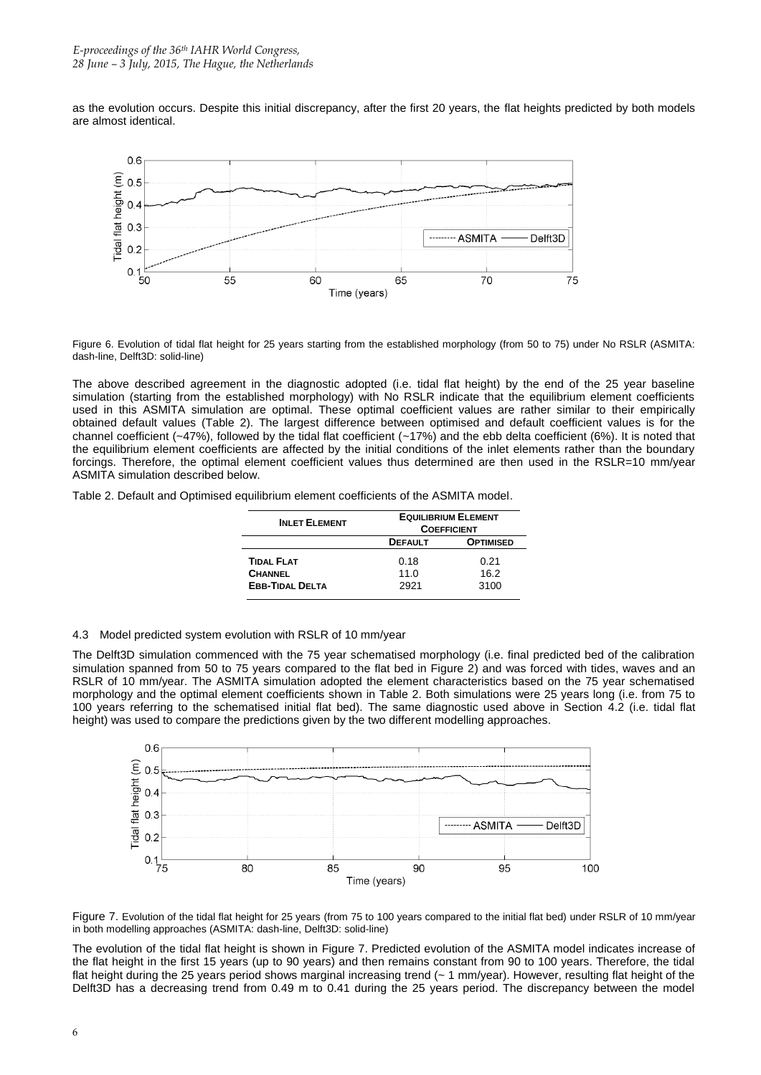as the evolution occurs. Despite this initial discrepancy, after the first 20 years, the flat heights predicted by both models are almost identical.



Figure 6. Evolution of tidal flat height for 25 years starting from the established morphology (from 50 to 75) under No RSLR (ASMITA: dash-line, Delft3D: solid-line)

The above described agreement in the diagnostic adopted (i.e. tidal flat height) by the end of the 25 year baseline simulation (starting from the established morphology) with No RSLR indicate that the equilibrium element coefficients used in this ASMITA simulation are optimal. These optimal coefficient values are rather similar to their empirically obtained default values (Table 2). The largest difference between optimised and default coefficient values is for the channel coefficient (~47%), followed by the tidal flat coefficient (~17%) and the ebb delta coefficient (6%). It is noted that the equilibrium element coefficients are affected by the initial conditions of the inlet elements rather than the boundary forcings. Therefore, the optimal element coefficient values thus determined are then used in the RSLR=10 mm/year ASMITA simulation described below.

Table 2. Default and Optimised equilibrium element coefficients of the ASMITA model.

| <b>INLET ELEMENT</b>                                          | <b>EQUILIBRIUM ELEMENT</b><br><b>COEFFICIENT</b> |                      |  |
|---------------------------------------------------------------|--------------------------------------------------|----------------------|--|
|                                                               | <b>DEFAULT</b>                                   | <b>OPTIMISED</b>     |  |
| <b>TIDAL FLAT</b><br><b>CHANNEL</b><br><b>EBB-TIDAL DELTA</b> | 0.18<br>11.0<br>2921                             | 0.21<br>16.2<br>3100 |  |

4.3 Model predicted system evolution with RSLR of 10 mm/year

The Delft3D simulation commenced with the 75 year schematised morphology (i.e. final predicted bed of the calibration simulation spanned from 50 to 75 years compared to the flat bed in Figure 2) and was forced with tides, waves and an RSLR of 10 mm/year. The ASMITA simulation adopted the element characteristics based on the 75 year schematised morphology and the optimal element coefficients shown in Table 2. Both simulations were 25 years long (i.e. from 75 to 100 years referring to the schematised initial flat bed). The same diagnostic used above in Section 4.2 (i.e. tidal flat height) was used to compare the predictions given by the two different modelling approaches.



Figure 7. Evolution of the tidal flat height for 25 years (from 75 to 100 years compared to the initial flat bed) under RSLR of 10 mm/year in both modelling approaches (ASMITA: dash-line, Delft3D: solid-line)

The evolution of the tidal flat height is shown in Figure 7. Predicted evolution of the ASMITA model indicates increase of the flat height in the first 15 years (up to 90 years) and then remains constant from 90 to 100 years. Therefore, the tidal flat height during the 25 years period shows marginal increasing trend (~ 1 mm/year). However, resulting flat height of the Delft3D has a decreasing trend from 0.49 m to 0.41 during the 25 years period. The discrepancy between the model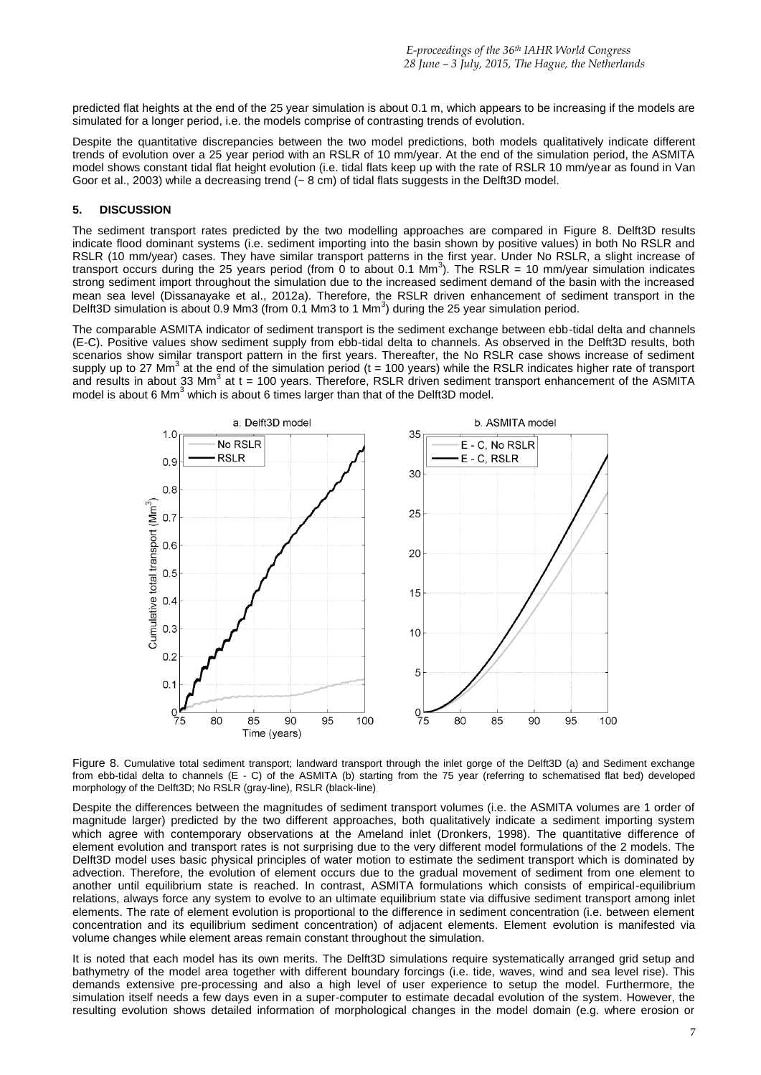predicted flat heights at the end of the 25 year simulation is about 0.1 m, which appears to be increasing if the models are simulated for a longer period, i.e. the models comprise of contrasting trends of evolution.

Despite the quantitative discrepancies between the two model predictions, both models qualitatively indicate different trends of evolution over a 25 year period with an RSLR of 10 mm/year. At the end of the simulation period, the ASMITA model shows constant tidal flat height evolution (i.e. tidal flats keep up with the rate of RSLR 10 mm/year as found in Van Goor et al., 2003) while a decreasing trend (~ 8 cm) of tidal flats suggests in the Delft3D model.

### **5. DISCUSSION**

The sediment transport rates predicted by the two modelling approaches are compared in Figure 8. Delft3D results indicate flood dominant systems (i.e. sediment importing into the basin shown by positive values) in both No RSLR and RSLR (10 mm/year) cases. They have similar transport patterns in the first year. Under No RSLR, a slight increase of transport occurs during the 25 years period (from 0 to about 0.1 Mm<sup>3</sup>). The RSLR = 10 mm/year simulation indicates strong sediment import throughout the simulation due to the increased sediment demand of the basin with the increased mean sea level (Dissanayake et al., 2012a). Therefore, the RSLR driven enhancement of sediment transport in the Delft3D simulation is about 0.9 Mm3 (from 0.1 Mm3 to 1 Mm<sup>3</sup>) during the 25 year simulation period.

The comparable ASMITA indicator of sediment transport is the sediment exchange between ebb-tidal delta and channels (E-C). Positive values show sediment supply from ebb-tidal delta to channels. As observed in the Delft3D results, both scenarios show similar transport pattern in the first years. Thereafter, the No RSLR case shows increase of sediment supply up to 27 Mm<sup>3</sup> at the end of the simulation period (t = 100 years) while the RSLR indicates higher rate of transport and results in about 33 Mm<sup>3</sup> at t = 100 years. Therefore, RSLR driven sediment transport enhancement of the ASMITA model is about 6 Mm<sup>3</sup> which is about 6 times larger than that of the Delft3D model.



Figure 8. Cumulative total sediment transport; landward transport through the inlet gorge of the Delft3D (a) and Sediment exchange from ebb-tidal delta to channels (E - C) of the ASMITA (b) starting from the 75 year (referring to schematised flat bed) developed morphology of the Delft3D; No RSLR (gray-line), RSLR (black-line)

Despite the differences between the magnitudes of sediment transport volumes (i.e. the ASMITA volumes are 1 order of magnitude larger) predicted by the two different approaches, both qualitatively indicate a sediment importing system which agree with contemporary observations at the Ameland inlet (Dronkers, 1998). The quantitative difference of element evolution and transport rates is not surprising due to the very different model formulations of the 2 models. The Delft3D model uses basic physical principles of water motion to estimate the sediment transport which is dominated by advection. Therefore, the evolution of element occurs due to the gradual movement of sediment from one element to another until equilibrium state is reached. In contrast, ASMITA formulations which consists of empirical-equilibrium relations, always force any system to evolve to an ultimate equilibrium state via diffusive sediment transport among inlet elements. The rate of element evolution is proportional to the difference in sediment concentration (i.e. between element concentration and its equilibrium sediment concentration) of adjacent elements. Element evolution is manifested via volume changes while element areas remain constant throughout the simulation.

It is noted that each model has its own merits. The Delft3D simulations require systematically arranged grid setup and bathymetry of the model area together with different boundary forcings (i.e. tide, waves, wind and sea level rise). This demands extensive pre-processing and also a high level of user experience to setup the model. Furthermore, the simulation itself needs a few days even in a super-computer to estimate decadal evolution of the system. However, the resulting evolution shows detailed information of morphological changes in the model domain (e.g. where erosion or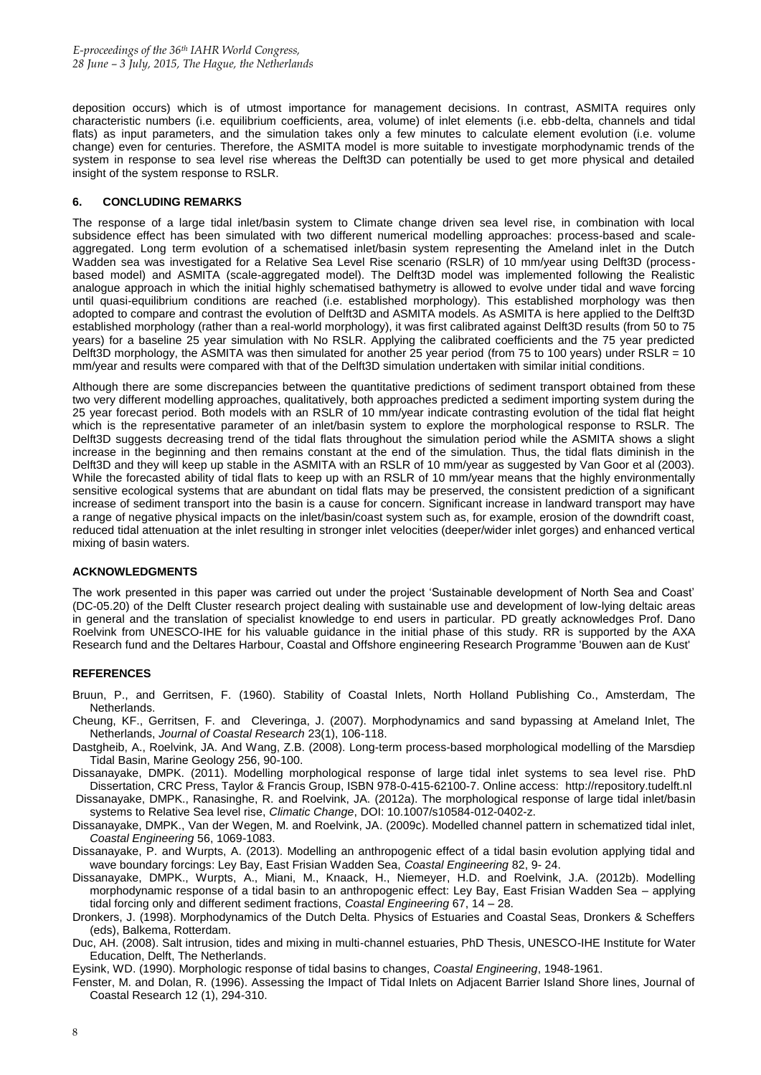deposition occurs) which is of utmost importance for management decisions. In contrast, ASMITA requires only characteristic numbers (i.e. equilibrium coefficients, area, volume) of inlet elements (i.e. ebb-delta, channels and tidal flats) as input parameters, and the simulation takes only a few minutes to calculate element evolution (i.e. volume change) even for centuries. Therefore, the ASMITA model is more suitable to investigate morphodynamic trends of the system in response to sea level rise whereas the Delft3D can potentially be used to get more physical and detailed insight of the system response to RSLR.

### **6. CONCLUDING REMARKS**

The response of a large tidal inlet/basin system to Climate change driven sea level rise, in combination with local subsidence effect has been simulated with two different numerical modelling approaches: process-based and scaleaggregated. Long term evolution of a schematised inlet/basin system representing the Ameland inlet in the Dutch Wadden sea was investigated for a Relative Sea Level Rise scenario (RSLR) of 10 mm/year using Delft3D (processbased model) and ASMITA (scale-aggregated model). The Delft3D model was implemented following the Realistic analogue approach in which the initial highly schematised bathymetry is allowed to evolve under tidal and wave forcing until quasi-equilibrium conditions are reached (i.e. established morphology). This established morphology was then adopted to compare and contrast the evolution of Delft3D and ASMITA models. As ASMITA is here applied to the Delft3D established morphology (rather than a real-world morphology), it was first calibrated against Delft3D results (from 50 to 75 years) for a baseline 25 year simulation with No RSLR. Applying the calibrated coefficients and the 75 year predicted Delft3D morphology, the ASMITA was then simulated for another 25 year period (from 75 to 100 years) under RSLR = 10 mm/year and results were compared with that of the Delft3D simulation undertaken with similar initial conditions.

Although there are some discrepancies between the quantitative predictions of sediment transport obtained from these two very different modelling approaches, qualitatively, both approaches predicted a sediment importing system during the 25 year forecast period. Both models with an RSLR of 10 mm/year indicate contrasting evolution of the tidal flat height which is the representative parameter of an inlet/basin system to explore the morphological response to RSLR. The Delft3D suggests decreasing trend of the tidal flats throughout the simulation period while the ASMITA shows a slight increase in the beginning and then remains constant at the end of the simulation. Thus, the tidal flats diminish in the Delft3D and they will keep up stable in the ASMITA with an RSLR of 10 mm/year as suggested by Van Goor et al (2003). While the forecasted ability of tidal flats to keep up with an RSLR of 10 mm/year means that the highly environmentally sensitive ecological systems that are abundant on tidal flats may be preserved, the consistent prediction of a significant increase of sediment transport into the basin is a cause for concern. Significant increase in landward transport may have a range of negative physical impacts on the inlet/basin/coast system such as, for example, erosion of the downdrift coast, reduced tidal attenuation at the inlet resulting in stronger inlet velocities (deeper/wider inlet gorges) and enhanced vertical mixing of basin waters.

### **ACKNOWLEDGMENTS**

The work presented in this paper was carried out under the project 'Sustainable development of North Sea and Coast' (DC-05.20) of the Delft Cluster research project dealing with sustainable use and development of low-lying deltaic areas in general and the translation of specialist knowledge to end users in particular. PD greatly acknowledges Prof. Dano Roelvink from UNESCO-IHE for his valuable guidance in the initial phase of this study. RR is supported by the AXA Research fund and the Deltares Harbour, Coastal and Offshore engineering Research Programme 'Bouwen aan de Kust'

### **REFERENCES**

- Bruun, P., and Gerritsen, F. (1960). Stability of Coastal Inlets, North Holland Publishing Co., Amsterdam, The Netherlands.
- Cheung, KF., Gerritsen, F. and Cleveringa, J. (2007). Morphodynamics and sand bypassing at Ameland Inlet, The Netherlands, *Journal of Coastal Research* 23(1), 106-118.
- Dastgheib, A., Roelvink, JA. And Wang, Z.B. (2008). Long-term process-based morphological modelling of the Marsdiep Tidal Basin, Marine Geology 256, 90-100.
- Dissanayake, DMPK. (2011). Modelling morphological response of large tidal inlet systems to sea level rise. PhD Dissertation, CRC Press, Taylor & Francis Group, ISBN 978-0-415-62100-7. Online access: [http://repository.tudelft.nl](http://repository.tudelft.nl/)

Dissanayake, DMPK., Ranasinghe, R. and Roelvink, JA. (2012a). The morphological response of large tidal inlet/basin systems to Relative Sea level rise, *Climatic Change*, DOI: 10.1007/s10584-012-0402-z.

Dissanayake, DMPK., Van der Wegen, M. and Roelvink, JA. (2009c). Modelled channel pattern in schematized tidal inlet, *Coastal Engineering* 56, 1069-1083.

Dissanayake, P. and Wurpts, A. (2013). Modelling an anthropogenic effect of a tidal basin evolution applying tidal and wave boundary forcings: Ley Bay, East Frisian Wadden Sea, *Coastal Engineering* 82, 9- 24.

Dissanayake, DMPK., Wurpts, A., Miani, M., Knaack, H., Niemeyer, H.D. and Roelvink, J.A. (2012b). Modelling morphodynamic response of a tidal basin to an anthropogenic effect: Ley Bay, East Frisian Wadden Sea – applying tidal forcing only and different sediment fractions, *Coastal Engineering* 67, 14 – 28.

Dronkers, J. (1998). Morphodynamics of the Dutch Delta. Physics of Estuaries and Coastal Seas, Dronkers & Scheffers (eds), Balkema, Rotterdam.

Duc, AH. (2008). Salt intrusion, tides and mixing in multi-channel estuaries, PhD Thesis, UNESCO-IHE Institute for Water Education, Delft, The Netherlands.

Eysink, WD. (1990). Morphologic response of tidal basins to changes, *Coastal Engineering*, 1948-1961.

Fenster, M. and Dolan, R. (1996). Assessing the Impact of Tidal Inlets on Adjacent Barrier Island Shore lines, Journal of Coastal Research 12 (1), 294-310.